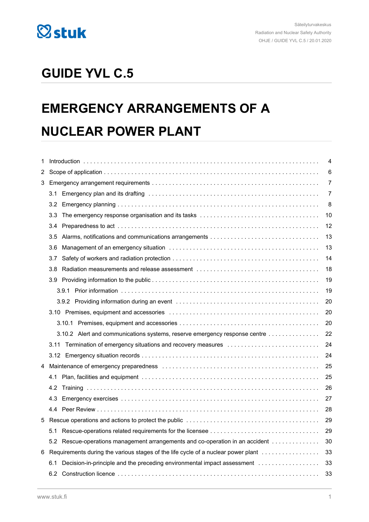

## **GUIDE YVL C.5**

## **EMERGENCY ARRANGEMENTS OF A NUCLEAR POWER PLANT**

| 1 |                                                                                   | 4              |
|---|-----------------------------------------------------------------------------------|----------------|
| 2 |                                                                                   | 6              |
| 3 |                                                                                   | 7              |
|   | 3.1                                                                               | $\overline{7}$ |
|   | 3.2 <sub>2</sub>                                                                  | 8              |
|   | 3.3                                                                               | 10             |
|   | 3.4                                                                               | 12             |
|   | 3.5                                                                               | 13             |
|   | 3.6                                                                               | 13             |
|   | 3.7                                                                               | 14             |
|   | 3.8                                                                               | 18             |
|   | 3.9                                                                               | 19             |
|   |                                                                                   | 19             |
|   |                                                                                   | 20             |
|   |                                                                                   | 20             |
|   |                                                                                   | 20             |
|   | 3.10.2 Alert and communications systems, reserve emergency response centre        | 22             |
|   | Termination of emergency situations and recovery measures<br>3.11                 | 24             |
|   |                                                                                   | 24             |
| 4 |                                                                                   | 25             |
|   | 4.1                                                                               | 25             |
|   | 4.2                                                                               | 26             |
|   | 4.3                                                                               | 27             |
|   |                                                                                   | 28             |
| 5 |                                                                                   | 29             |
|   | 5.1                                                                               | 29             |
|   | 5.2 Rescue-operations management arrangements and co-operation in an accident     | 30             |
| 6 | Requirements during the various stages of the life cycle of a nuclear power plant | 33             |
|   | Decision-in-principle and the preceding environmental impact assessment<br>6.1    | 33             |
|   |                                                                                   | 33             |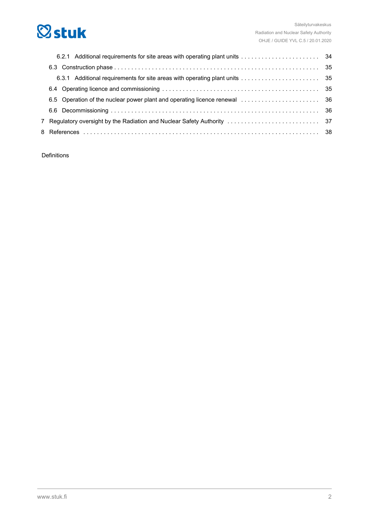

Definitions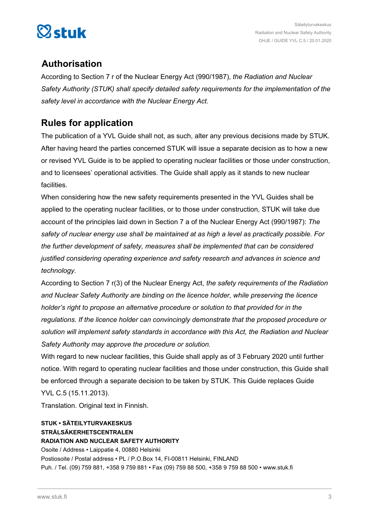

### **Authorisation**

According to Section 7 r of the Nuclear Energy Act (990/1987), *the Radiation and Nuclear Safety Authority (STUK) shall specify detailed safety requirements for the implementation of the safety level in accordance with the Nuclear Energy Act.*

### **Rules for application**

The publication of a YVL Guide shall not, as such, alter any previous decisions made by STUK. After having heard the parties concerned STUK will issue a separate decision as to how a new or revised YVL Guide is to be applied to operating nuclear facilities or those under construction, and to licensees' operational activities. The Guide shall apply as it stands to new nuclear facilities.

When considering how the new safety requirements presented in the YVL Guides shall be applied to the operating nuclear facilities, or to those under construction, STUK will take due account of the principles laid down in Section 7 a of the Nuclear Energy Act (990/1987): *The safety of nuclear energy use shall be maintained at as high a level as practically possible. For the further development of safety, measures shall be implemented that can be considered justified considering operating experience and safety research and advances in science and technology.*

According to Section 7 r(3) of the Nuclear Energy Act, *the safety requirements of the Radiation and Nuclear Safety Authority are binding on the licence holder, while preserving the licence holder's right to propose an alternative procedure or solution to that provided for in the regulations. If the licence holder can convincingly demonstrate that the proposed procedure or solution will implement safety standards in accordance with this Act, the Radiation and Nuclear Safety Authority may approve the procedure or solution.*

With regard to new nuclear facilities, this Guide shall apply as of 3 February 2020 until further notice. With regard to operating nuclear facilities and those under construction, this Guide shall be enforced through a separate decision to be taken by STUK. This Guide replaces Guide YVL C.5 (15.11.2013).

Translation. Original text in Finnish.

### **STUK • SÄTEILYTURVAKESKUS STRÅLSÄKERHETSCENTRALEN RADIATION AND NUCLEAR SAFETY AUTHORITY**

Osoite / Address • Laippatie 4, 00880 Helsinki Postiosoite / Postal address • PL / P.O.Box 14, FI-00811 Helsinki, FINLAND Puh. / Tel. (09) 759 881, +358 9 759 881 • Fax (09) 759 88 500, +358 9 759 88 500 • www.stuk.fi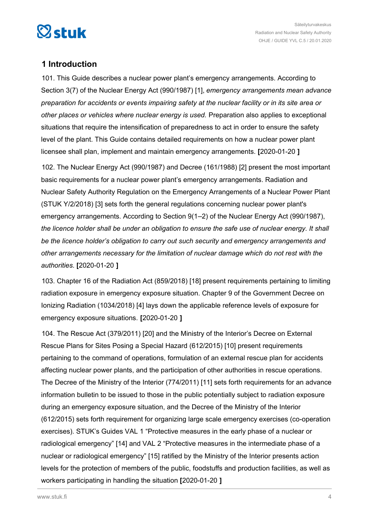<span id="page-3-0"></span>

### **1 Introduction**

101. This Guide describes a nuclear power plant's emergency arrangements. According to Section 3(7) of the Nuclear Energy Act (990/1987) [1], *emergency arrangements mean advance preparation for accidents or events impairing safety at the nuclear facility or in its site area or other places or vehicles where nuclear energy is used.* Preparation also applies to exceptional situations that require the intensification of preparedness to act in order to ensure the safety level of the plant. This Guide contains detailed requirements on how a nuclear power plant licensee shall plan, implement and maintain emergency arrangements. **[**2020-01-20 **]**

102. The Nuclear Energy Act (990/1987) and Decree (161/1988) [2] present the most important basic requirements for a nuclear power plant's emergency arrangements. Radiation and Nuclear Safety Authority Regulation on the Emergency Arrangements of a Nuclear Power Plant (STUK Y/2/2018) [3] sets forth the general regulations concerning nuclear power plant's emergency arrangements. According to Section 9(1–2) of the Nuclear Energy Act (990/1987), *the licence holder shall be under an obligation to ensure the safe use of nuclear energy. It shall be the licence holder's obligation to carry out such security and emergency arrangements and other arrangements necessary for the limitation of nuclear damage which do not rest with the authorities.* **[**2020-01-20 **]**

103. Chapter 16 of the Radiation Act (859/2018) [18] present requirements pertaining to limiting radiation exposure in emergency exposure situation. Chapter 9 of the Government Decree on Ionizing Radiation (1034/2018) [4] lays down the applicable reference levels of exposure for emergency exposure situations. **[**2020-01-20 **]**

104. The Rescue Act (379/2011) [20] and the Ministry of the Interior's Decree on External Rescue Plans for Sites Posing a Special Hazard (612/2015) [10] present requirements pertaining to the command of operations, formulation of an external rescue plan for accidents affecting nuclear power plants, and the participation of other authorities in rescue operations. The Decree of the Ministry of the Interior (774/2011) [11] sets forth requirements for an advance information bulletin to be issued to those in the public potentially subject to radiation exposure during an emergency exposure situation, and the Decree of the Ministry of the Interior (612/2015) sets forth requirement for organizing large scale emergency exercises (co-operation exercises). STUK's Guides VAL 1 "Protective measures in the early phase of a nuclear or radiological emergency" [14] and VAL 2 "Protective measures in the intermediate phase of a nuclear or radiological emergency" [15] ratified by the Ministry of the Interior presents action levels for the protection of members of the public, foodstuffs and production facilities, as well as workers participating in handling the situation **[**2020-01-20 **]**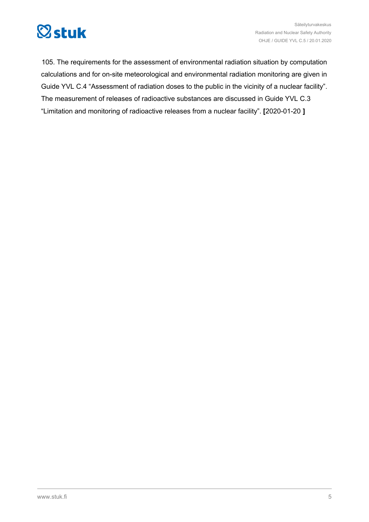

105. The requirements for the assessment of environmental radiation situation by computation calculations and for on-site meteorological and environmental radiation monitoring are given in Guide YVL C.4 "Assessment of radiation doses to the public in the vicinity of a nuclear facility". The measurement of releases of radioactive substances are discussed in Guide YVL C.3 "Limitation and monitoring of radioactive releases from a nuclear facility". **[**2020-01-20 **]**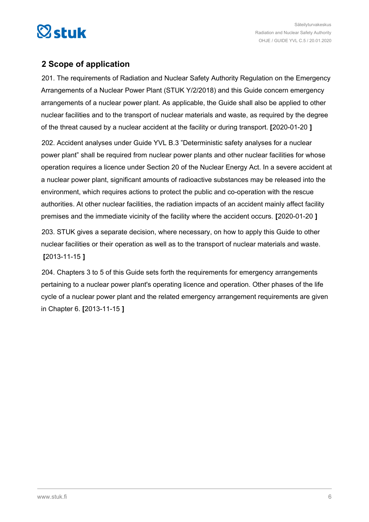<span id="page-5-0"></span>

### **2 Scope of application**

201. The requirements of Radiation and Nuclear Safety Authority Regulation on the Emergency Arrangements of a Nuclear Power Plant (STUK Y/2/2018) and this Guide concern emergency arrangements of a nuclear power plant. As applicable, the Guide shall also be applied to other nuclear facilities and to the transport of nuclear materials and waste, as required by the degree of the threat caused by a nuclear accident at the facility or during transport. **[**2020-01-20 **]**

202. Accident analyses under Guide YVL B.3 "Deterministic safety analyses for a nuclear power plant" shall be required from nuclear power plants and other nuclear facilities for whose operation requires a licence under Section 20 of the Nuclear Energy Act. In a severe accident at a nuclear power plant, significant amounts of radioactive substances may be released into the environment, which requires actions to protect the public and co-operation with the rescue authorities. At other nuclear facilities, the radiation impacts of an accident mainly affect facility premises and the immediate vicinity of the facility where the accident occurs. **[**2020-01-20 **]**

203. STUK gives a separate decision, where necessary, on how to apply this Guide to other nuclear facilities or their operation as well as to the transport of nuclear materials and waste. **[**2013-11-15 **]**

204. Chapters 3 to 5 of this Guide sets forth the requirements for emergency arrangements pertaining to a nuclear power plant's operating licence and operation. Other phases of the life cycle of a nuclear power plant and the related emergency arrangement requirements are given in Chapter 6. **[**2013-11-15 **]**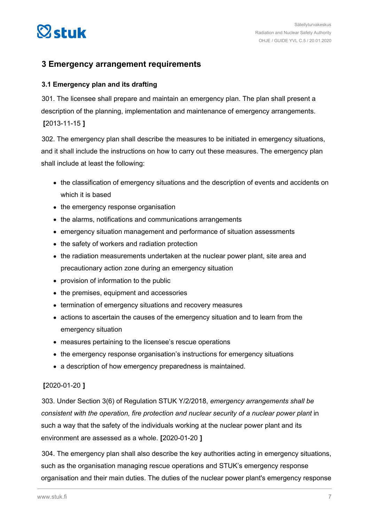<span id="page-6-0"></span>

### **3 Emergency arrangement requirements**

### **3.1 Emergency plan and its drafting**

301. The licensee shall prepare and maintain an emergency plan. The plan shall present a description of the planning, implementation and maintenance of emergency arrangements. **[**2013-11-15 **]**

302. The emergency plan shall describe the measures to be initiated in emergency situations, and it shall include the instructions on how to carry out these measures. The emergency plan shall include at least the following:

- the classification of emergency situations and the description of events and accidents on which it is based
- the emergency response organisation
- the alarms, notifications and communications arrangements
- emergency situation management and performance of situation assessments
- the safety of workers and radiation protection
- the radiation measurements undertaken at the nuclear power plant, site area and precautionary action zone during an emergency situation
- provision of information to the public
- the premises, equipment and accessories
- termination of emergency situations and recovery measures
- actions to ascertain the causes of the emergency situation and to learn from the emergency situation
- measures pertaining to the licensee's rescue operations
- the emergency response organisation's instructions for emergency situations
- a description of how emergency preparedness is maintained.

### **[**2020-01-20 **]**

303. Under Section 3(6) of Regulation STUK Y/2/2018, *emergency arrangements shall be consistent with the operation, fire protection and nuclear security of a nuclear power plant* in such a way that the safety of the individuals working at the nuclear power plant and its environment are assessed as a whole. **[**2020-01-20 **]**

304. The emergency plan shall also describe the key authorities acting in emergency situations, such as the organisation managing rescue operations and STUK's emergency response organisation and their main duties. The duties of the nuclear power plant's emergency response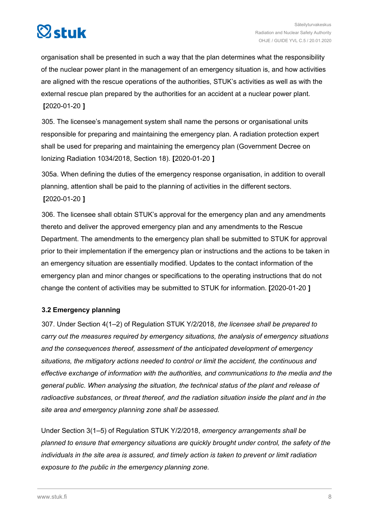## <span id="page-7-0"></span> $\heartsuit$ stuk

organisation shall be presented in such a way that the plan determines what the responsibility of the nuclear power plant in the management of an emergency situation is, and how activities are aligned with the rescue operations of the authorities, STUK's activities as well as with the external rescue plan prepared by the authorities for an accident at a nuclear power plant. **[**2020-01-20 **]**

305. The licensee's management system shall name the persons or organisational units responsible for preparing and maintaining the emergency plan. A radiation protection expert shall be used for preparing and maintaining the emergency plan (Government Decree on Ionizing Radiation 1034/2018, Section 18). **[**2020-01-20 **]**

305a. When defining the duties of the emergency response organisation, in addition to overall planning, attention shall be paid to the planning of activities in the different sectors. **[**2020-01-20 **]**

306. The licensee shall obtain STUK's approval for the emergency plan and any amendments thereto and deliver the approved emergency plan and any amendments to the Rescue Department. The amendments to the emergency plan shall be submitted to STUK for approval prior to their implementation if the emergency plan or instructions and the actions to be taken in an emergency situation are essentially modified. Updates to the contact information of the emergency plan and minor changes or specifications to the operating instructions that do not change the content of activities may be submitted to STUK for information. **[**2020-01-20 **]**

### **3.2 Emergency planning**

307. Under Section 4(1–2) of Regulation STUK Y/2/2018, *the licensee shall be prepared to carry out the measures required by emergency situations, the analysis of emergency situations and the consequences thereof, assessment of the anticipated development of emergency situations, the mitigatory actions needed to control or limit the accident, the continuous and effective exchange of information with the authorities, and communications to the media and the general public. When analysing the situation, the technical status of the plant and release of radioactive substances, or threat thereof, and the radiation situation inside the plant and in the site area and emergency planning zone shall be assessed.*

Under Section 3(1–5) of Regulation STUK Y/2/2018, *emergency arrangements shall be planned to ensure that emergency situations are quickly brought under control, the safety of the individuals in the site area is assured, and timely action is taken to prevent or limit radiation exposure to the public in the emergency planning zone.*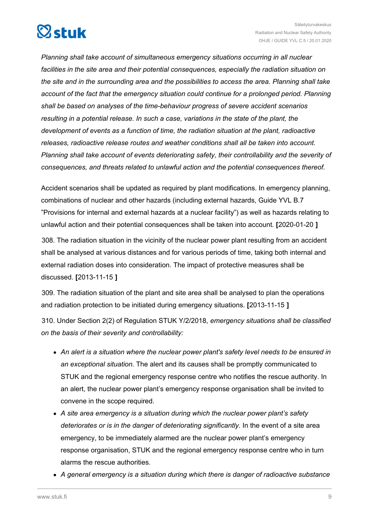

*Planning shall take account of simultaneous emergency situations occurring in all nuclear facilities in the site area and their potential consequences, especially the radiation situation on the site and in the surrounding area and the possibilities to access the area. Planning shall take account of the fact that the emergency situation could continue for a prolonged period. Planning shall be based on analyses of the time-behaviour progress of severe accident scenarios resulting in a potential release. In such a case, variations in the state of the plant, the development of events as a function of time, the radiation situation at the plant, radioactive releases, radioactive release routes and weather conditions shall all be taken into account. Planning shall take account of events deteriorating safety, their controllability and the severity of consequences, and threats related to unlawful action and the potential consequences thereof.*

Accident scenarios shall be updated as required by plant modifications. In emergency planning, combinations of nuclear and other hazards (including external hazards, Guide YVL B.7 "Provisions for internal and external hazards at a nuclear facility") as well as hazards relating to unlawful action and their potential consequences shall be taken into account. **[**2020-01-20 **]**

308. The radiation situation in the vicinity of the nuclear power plant resulting from an accident shall be analysed at various distances and for various periods of time, taking both internal and external radiation doses into consideration. The impact of protective measures shall be discussed. **[**2013-11-15 **]**

309. The radiation situation of the plant and site area shall be analysed to plan the operations and radiation protection to be initiated during emergency situations. **[**2013-11-15 **]**

310. Under Section 2(2) of Regulation STUK Y/2/2018, *emergency situations shall be classified on the basis of their severity and controllability:*

- *An alert is a situation where the nuclear power plant's safety level needs to be ensured in an exceptional situation.* The alert and its causes shall be promptly communicated to STUK and the regional emergency response centre who notifies the rescue authority. In an alert, the nuclear power plant's emergency response organisation shall be invited to convene in the scope required.
- *A site area emergency is a situation during which the nuclear power plant's safety deteriorates or is in the danger of deteriorating significantly.* In the event of a site area emergency, to be immediately alarmed are the nuclear power plant's emergency response organisation, STUK and the regional emergency response centre who in turn alarms the rescue authorities.
- *A general emergency is a situation during which there is danger of radioactive substance*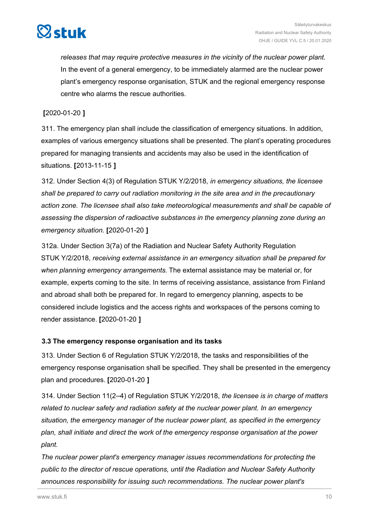<span id="page-9-0"></span>

*releases that may require protective measures in the vicinity of the nuclear power plant.* In the event of a general emergency, to be immediately alarmed are the nuclear power plant's emergency response organisation, STUK and the regional emergency response centre who alarms the rescue authorities.

### **[**2020-01-20 **]**

311. The emergency plan shall include the classification of emergency situations. In addition, examples of various emergency situations shall be presented. The plant's operating procedures prepared for managing transients and accidents may also be used in the identification of situations. **[**2013-11-15 **]**

312. Under Section 4(3) of Regulation STUK Y/2/2018, *in emergency situations, the licensee shall be prepared to carry out radiation monitoring in the site area and in the precautionary action zone. The licensee shall also take meteorological measurements and shall be capable of assessing the dispersion of radioactive substances in the emergency planning zone during an emergency situation.* **[**2020-01-20 **]**

312a. Under Section 3(7a) of the Radiation and Nuclear Safety Authority Regulation STUK Y/2/2018, *receiving external assistance in an emergency situation shall be prepared for when planning emergency arrangements.* The external assistance may be material or, for example, experts coming to the site. In terms of receiving assistance, assistance from Finland and abroad shall both be prepared for. In regard to emergency planning, aspects to be considered include logistics and the access rights and workspaces of the persons coming to render assistance. **[**2020-01-20 **]**

### **3.3 The emergency response organisation and its tasks**

313. Under Section 6 of Regulation STUK Y/2/2018, the tasks and responsibilities of the emergency response organisation shall be specified. They shall be presented in the emergency plan and procedures. **[**2020-01-20 **]**

314. Under Section 11(2–4) of Regulation STUK Y/2/2018, *the licensee is in charge of matters related to nuclear safety and radiation safety at the nuclear power plant. In an emergency situation, the emergency manager of the nuclear power plant, as specified in the emergency plan, shall initiate and direct the work of the emergency response organisation at the power plant.*

*The nuclear power plant's emergency manager issues recommendations for protecting the public to the director of rescue operations, until the Radiation and Nuclear Safety Authority announces responsibility for issuing such recommendations. The nuclear power plant's*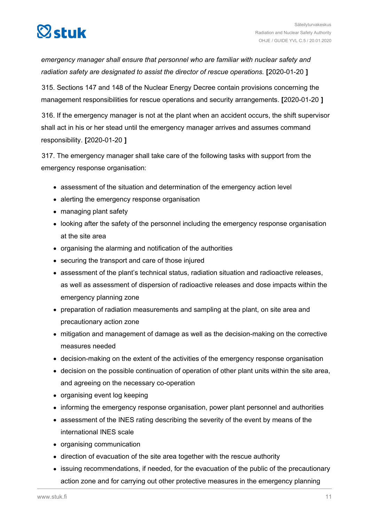

*emergency manager shall ensure that personnel who are familiar with nuclear safety and radiation safety are designated to assist the director of rescue operations.* **[**2020-01-20 **]**

315. Sections 147 and 148 of the Nuclear Energy Decree contain provisions concerning the management responsibilities for rescue operations and security arrangements. **[**2020-01-20 **]**

316. If the emergency manager is not at the plant when an accident occurs, the shift supervisor shall act in his or her stead until the emergency manager arrives and assumes command responsibility. **[**2020-01-20 **]**

317. The emergency manager shall take care of the following tasks with support from the emergency response organisation:

- assessment of the situation and determination of the emergency action level
- alerting the emergency response organisation
- managing plant safety
- looking after the safety of the personnel including the emergency response organisation at the site area
- organising the alarming and notification of the authorities
- securing the transport and care of those injured
- assessment of the plant's technical status, radiation situation and radioactive releases, as well as assessment of dispersion of radioactive releases and dose impacts within the emergency planning zone
- preparation of radiation measurements and sampling at the plant, on site area and precautionary action zone
- mitigation and management of damage as well as the decision-making on the corrective measures needed
- decision-making on the extent of the activities of the emergency response organisation
- decision on the possible continuation of operation of other plant units within the site area, and agreeing on the necessary co-operation
- organising event log keeping
- informing the emergency response organisation, power plant personnel and authorities
- assessment of the INES rating describing the severity of the event by means of the international INES scale
- organising communication
- direction of evacuation of the site area together with the rescue authority
- issuing recommendations, if needed, for the evacuation of the public of the precautionary action zone and for carrying out other protective measures in the emergency planning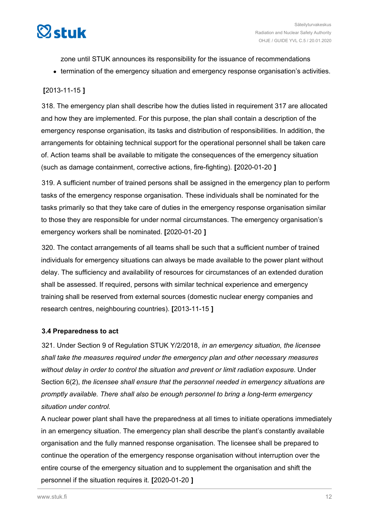<span id="page-11-0"></span>

zone until STUK announces its responsibility for the issuance of recommendations

• termination of the emergency situation and emergency response organisation's activities.

### **[**2013-11-15 **]**

318. The emergency plan shall describe how the duties listed in requirement 317 are allocated and how they are implemented. For this purpose, the plan shall contain a description of the emergency response organisation, its tasks and distribution of responsibilities. In addition, the arrangements for obtaining technical support for the operational personnel shall be taken care of. Action teams shall be available to mitigate the consequences of the emergency situation (such as damage containment, corrective actions, fire-fighting). **[**2020-01-20 **]**

319. A sufficient number of trained persons shall be assigned in the emergency plan to perform tasks of the emergency response organisation. These individuals shall be nominated for the tasks primarily so that they take care of duties in the emergency response organisation similar to those they are responsible for under normal circumstances. The emergency organisation's emergency workers shall be nominated. **[**2020-01-20 **]**

320. The contact arrangements of all teams shall be such that a sufficient number of trained individuals for emergency situations can always be made available to the power plant without delay. The sufficiency and availability of resources for circumstances of an extended duration shall be assessed. If required, persons with similar technical experience and emergency training shall be reserved from external sources (domestic nuclear energy companies and research centres, neighbouring countries). **[**2013-11-15 **]**

### **3.4 Preparedness to act**

321. Under Section 9 of Regulation STUK Y/2/2018, *in an emergency situation, the licensee shall take the measures required under the emergency plan and other necessary measures without delay in order to control the situation and prevent or limit radiation exposure.* Under Section 6(2), *the licensee shall ensure that the personnel needed in emergency situations are promptly available. There shall also be enough personnel to bring a long-term emergency situation under control.*

A nuclear power plant shall have the preparedness at all times to initiate operations immediately in an emergency situation. The emergency plan shall describe the plant's constantly available organisation and the fully manned response organisation. The licensee shall be prepared to continue the operation of the emergency response organisation without interruption over the entire course of the emergency situation and to supplement the organisation and shift the personnel if the situation requires it. **[**2020-01-20 **]**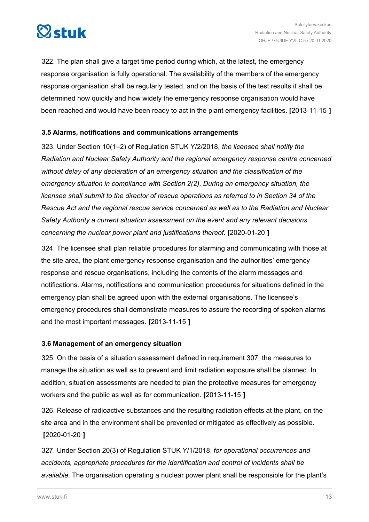<span id="page-12-0"></span>

322. The plan shall give a target time period during which, at the latest, the emergency response organisation is fully operational. The availability of the members of the emergency response organisation shall be regularly tested, and on the basis of the test results it shall be determined how quickly and how widely the emergency response organisation would have been reached and would have been ready to act in the plant emergency facilities. **[**2013-11-15 **]**

### **3.5 Alarms, notifications and communications arrangements**

323. Under Section 10(1–2) of Regulation STUK Y/2/2018, *the licensee shall notify the Radiation and Nuclear Safety Authority and the regional emergency response centre concerned without delay of any declaration of an emergency situation and the classification of the emergency situation in compliance with Section 2(2). During an emergency situation, the licensee shall submit to the director of rescue operations as referred to in Section 34 of the Rescue Act and the regional rescue service concerned as well as to the Radiation and Nuclear Safety Authority a current situation assessment on the event and any relevant decisions concerning the nuclear power plant and justifications thereof.* **[**2020-01-20 **]**

324. The licensee shall plan reliable procedures for alarming and communicating with those at the site area, the plant emergency response organisation and the authorities' emergency response and rescue organisations, including the contents of the alarm messages and notifications. Alarms, notifications and communication procedures for situations defined in the emergency plan shall be agreed upon with the external organisations. The licensee's emergency procedures shall demonstrate measures to assure the recording of spoken alarms and the most important messages. **[**2013-11-15 **]**

### **3.6 Management of an emergency situation**

325. On the basis of a situation assessment defined in requirement 307, the measures to manage the situation as well as to prevent and limit radiation exposure shall be planned. In addition, situation assessments are needed to plan the protective measures for emergency workers and the public as well as for communication. **[**2013-11-15 **]**

326. Release of radioactive substances and the resulting radiation effects at the plant, on the site area and in the environment shall be prevented or mitigated as effectively as possible. **[**2020-01-20 **]**

327. Under Section 20(3) of Regulation STUK Y/1/2018, *for operational occurrences and accidents, appropriate procedures for the identification and control of incidents shall be available.* The organisation operating a nuclear power plant shall be responsible for the plant's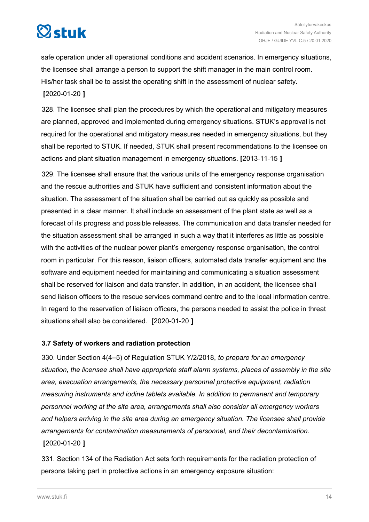# <span id="page-13-0"></span> $\heartsuit$ stuk

safe operation under all operational conditions and accident scenarios. In emergency situations, the licensee shall arrange a person to support the shift manager in the main control room. His/her task shall be to assist the operating shift in the assessment of nuclear safety. **[**2020-01-20 **]**

328. The licensee shall plan the procedures by which the operational and mitigatory measures are planned, approved and implemented during emergency situations. STUK's approval is not required for the operational and mitigatory measures needed in emergency situations, but they shall be reported to STUK. If needed, STUK shall present recommendations to the licensee on actions and plant situation management in emergency situations. **[**2013-11-15 **]**

329. The licensee shall ensure that the various units of the emergency response organisation and the rescue authorities and STUK have sufficient and consistent information about the situation. The assessment of the situation shall be carried out as quickly as possible and presented in a clear manner. It shall include an assessment of the plant state as well as a forecast of its progress and possible releases. The communication and data transfer needed for the situation assessment shall be arranged in such a way that it interferes as little as possible with the activities of the nuclear power plant's emergency response organisation, the control room in particular. For this reason, liaison officers, automated data transfer equipment and the software and equipment needed for maintaining and communicating a situation assessment shall be reserved for liaison and data transfer. In addition, in an accident, the licensee shall send liaison officers to the rescue services command centre and to the local information centre. In regard to the reservation of liaison officers, the persons needed to assist the police in threat situations shall also be considered. **[**2020-01-20 **]**

### **3.7 Safety of workers and radiation protection**

330. Under Section 4(4–5) of Regulation STUK Y/2/2018, *to prepare for an emergency situation, the licensee shall have appropriate staff alarm systems, places of assembly in the site area, evacuation arrangements, the necessary personnel protective equipment, radiation measuring instruments and iodine tablets available. In addition to permanent and temporary personnel working at the site area, arrangements shall also consider all emergency workers and helpers arriving in the site area during an emergency situation. The licensee shall provide arrangements for contamination measurements of personnel, and their decontamination.* **[**2020-01-20 **]**

331. Section 134 of the Radiation Act sets forth requirements for the radiation protection of persons taking part in protective actions in an emergency exposure situation: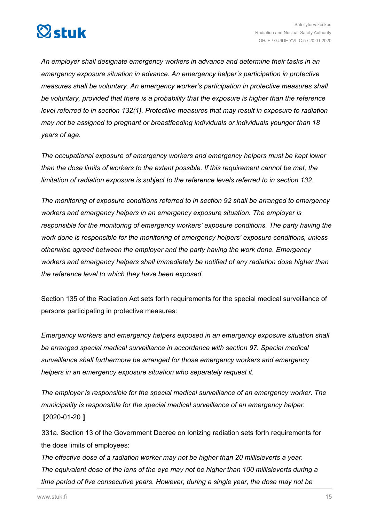

*An employer shall designate emergency workers in advance and determine their tasks in an emergency exposure situation in advance. An emergency helper's participation in protective measures shall be voluntary. An emergency worker's participation in protective measures shall be voluntary, provided that there is a probability that the exposure is higher than the reference level referred to in section 132(1). Protective measures that may result in exposure to radiation may not be assigned to pregnant or breastfeeding individuals or individuals younger than 18 years of age.*

*The occupational exposure of emergency workers and emergency helpers must be kept lower than the dose limits of workers to the extent possible. If this requirement cannot be met, the limitation of radiation exposure is subject to the reference levels referred to in section 132.*

*The monitoring of exposure conditions referred to in section 92 shall be arranged to emergency workers and emergency helpers in an emergency exposure situation. The employer is responsible for the monitoring of emergency workers' exposure conditions. The party having the work done is responsible for the monitoring of emergency helpers' exposure conditions, unless otherwise agreed between the employer and the party having the work done. Emergency workers and emergency helpers shall immediately be notified of any radiation dose higher than the reference level to which they have been exposed.*

Section 135 of the Radiation Act sets forth requirements for the special medical surveillance of persons participating in protective measures:

*Emergency workers and emergency helpers exposed in an emergency exposure situation shall be arranged special medical surveillance in accordance with section 97. Special medical surveillance shall furthermore be arranged for those emergency workers and emergency helpers in an emergency exposure situation who separately request it.*

*The employer is responsible for the special medical surveillance of an emergency worker. The municipality is responsible for the special medical surveillance of an emergency helper.* **[**2020-01-20 **]**

331a. Section 13 of the Government Decree on Ionizing radiation sets forth requirements for the dose limits of employees:

*The effective dose of a radiation worker may not be higher than 20 millisieverts a year. The equivalent dose of the lens of the eye may not be higher than 100 millisieverts during a time period of five consecutive years. However, during a single year, the dose may not be*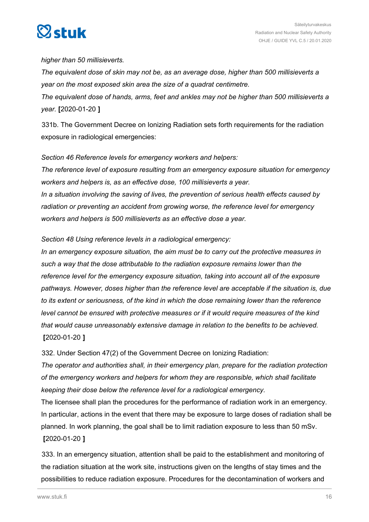

### *higher than 50 millisieverts.*

*The equivalent dose of skin may not be, as an average dose, higher than 500 millisieverts a year on the most exposed skin area the size of a quadrat centimetre.*

*The equivalent dose of hands, arms, feet and ankles may not be higher than 500 millisieverts a year.* **[**2020-01-20 **]**

331b. The Government Decree on Ionizing Radiation sets forth requirements for the radiation exposure in radiological emergencies:

### *Section 46 Reference levels for emergency workers and helpers:*

*The reference level of exposure resulting from an emergency exposure situation for emergency workers and helpers is, as an effective dose, 100 millisieverts a year. In a situation involving the saving of lives, the prevention of serious health effects caused by radiation or preventing an accident from growing worse, the reference level for emergency workers and helpers is 500 millisieverts as an effective dose a year.*

*Section 48 Using reference levels in a radiological emergency:*

*In an emergency exposure situation, the aim must be to carry out the protective measures in such a way that the dose attributable to the radiation exposure remains lower than the reference level for the emergency exposure situation, taking into account all of the exposure pathways. However, doses higher than the reference level are acceptable if the situation is, due to its extent or seriousness, of the kind in which the dose remaining lower than the reference level cannot be ensured with protective measures or if it would require measures of the kind that would cause unreasonably extensive damage in relation to the benefits to be achieved.* **[**2020-01-20 **]**

332. Under Section 47(2) of the Government Decree on Ionizing Radiation:

*The operator and authorities shall, in their emergency plan, prepare for the radiation protection of the emergency workers and helpers for whom they are responsible, which shall facilitate keeping their dose below the reference level for a radiological emergency.*

The licensee shall plan the procedures for the performance of radiation work in an emergency. In particular, actions in the event that there may be exposure to large doses of radiation shall be planned. In work planning, the goal shall be to limit radiation exposure to less than 50 mSv. **[**2020-01-20 **]**

333. In an emergency situation, attention shall be paid to the establishment and monitoring of the radiation situation at the work site, instructions given on the lengths of stay times and the possibilities to reduce radiation exposure. Procedures for the decontamination of workers and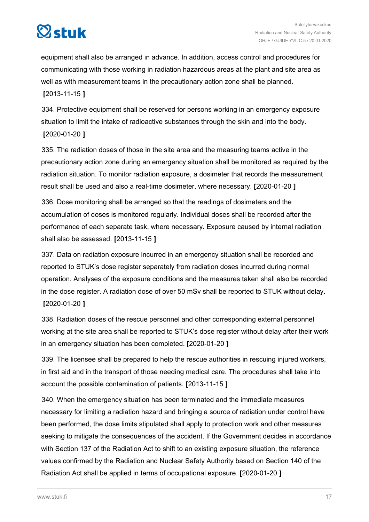

equipment shall also be arranged in advance. In addition, access control and procedures for communicating with those working in radiation hazardous areas at the plant and site area as well as with measurement teams in the precautionary action zone shall be planned. **[**2013-11-15 **]**

334. Protective equipment shall be reserved for persons working in an emergency exposure situation to limit the intake of radioactive substances through the skin and into the body. **[**2020-01-20 **]**

335. The radiation doses of those in the site area and the measuring teams active in the precautionary action zone during an emergency situation shall be monitored as required by the radiation situation. To monitor radiation exposure, a dosimeter that records the measurement result shall be used and also a real-time dosimeter, where necessary. **[**2020-01-20 **]**

336. Dose monitoring shall be arranged so that the readings of dosimeters and the accumulation of doses is monitored regularly. Individual doses shall be recorded after the performance of each separate task, where necessary. Exposure caused by internal radiation shall also be assessed. **[**2013-11-15 **]**

337. Data on radiation exposure incurred in an emergency situation shall be recorded and reported to STUK's dose register separately from radiation doses incurred during normal operation. Analyses of the exposure conditions and the measures taken shall also be recorded in the dose register. A radiation dose of over 50 mSv shall be reported to STUK without delay. **[**2020-01-20 **]**

338. Radiation doses of the rescue personnel and other corresponding external personnel working at the site area shall be reported to STUK's dose register without delay after their work in an emergency situation has been completed. **[**2020-01-20 **]**

339. The licensee shall be prepared to help the rescue authorities in rescuing injured workers, in first aid and in the transport of those needing medical care. The procedures shall take into account the possible contamination of patients. **[**2013-11-15 **]**

340. When the emergency situation has been terminated and the immediate measures necessary for limiting a radiation hazard and bringing a source of radiation under control have been performed, the dose limits stipulated shall apply to protection work and other measures seeking to mitigate the consequences of the accident. If the Government decides in accordance with Section 137 of the Radiation Act to shift to an existing exposure situation, the reference values confirmed by the Radiation and Nuclear Safety Authority based on Section 140 of the Radiation Act shall be applied in terms of occupational exposure. **[**2020-01-20 **]**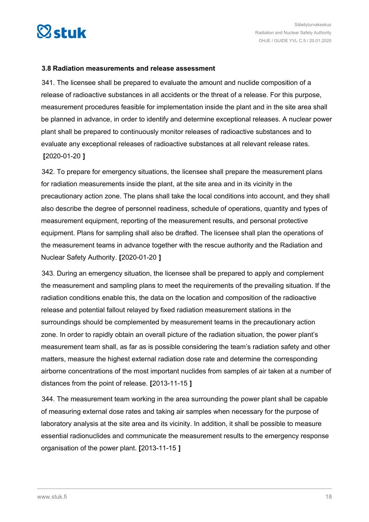<span id="page-17-0"></span>

#### **3.8 Radiation measurements and release assessment**

341. The licensee shall be prepared to evaluate the amount and nuclide composition of a release of radioactive substances in all accidents or the threat of a release. For this purpose, measurement procedures feasible for implementation inside the plant and in the site area shall be planned in advance, in order to identify and determine exceptional releases. A nuclear power plant shall be prepared to continuously monitor releases of radioactive substances and to evaluate any exceptional releases of radioactive substances at all relevant release rates. **[**2020-01-20 **]**

342. To prepare for emergency situations, the licensee shall prepare the measurement plans for radiation measurements inside the plant, at the site area and in its vicinity in the precautionary action zone. The plans shall take the local conditions into account, and they shall also describe the degree of personnel readiness, schedule of operations, quantity and types of measurement equipment, reporting of the measurement results, and personal protective equipment. Plans for sampling shall also be drafted. The licensee shall plan the operations of the measurement teams in advance together with the rescue authority and the Radiation and Nuclear Safety Authority. **[**2020-01-20 **]**

343. During an emergency situation, the licensee shall be prepared to apply and complement the measurement and sampling plans to meet the requirements of the prevailing situation. If the radiation conditions enable this, the data on the location and composition of the radioactive release and potential fallout relayed by fixed radiation measurement stations in the surroundings should be complemented by measurement teams in the precautionary action zone. In order to rapidly obtain an overall picture of the radiation situation, the power plant's measurement team shall, as far as is possible considering the team's radiation safety and other matters, measure the highest external radiation dose rate and determine the corresponding airborne concentrations of the most important nuclides from samples of air taken at a number of distances from the point of release. **[**2013-11-15 **]**

344. The measurement team working in the area surrounding the power plant shall be capable of measuring external dose rates and taking air samples when necessary for the purpose of laboratory analysis at the site area and its vicinity. In addition, it shall be possible to measure essential radionuclides and communicate the measurement results to the emergency response organisation of the power plant. **[**2013-11-15 **]**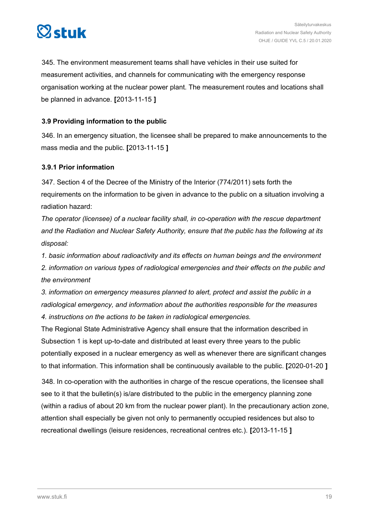<span id="page-18-0"></span>

345. The environment measurement teams shall have vehicles in their use suited for measurement activities, and channels for communicating with the emergency response organisation working at the nuclear power plant. The measurement routes and locations shall be planned in advance. **[**2013-11-15 **]**

### **3.9 Providing information to the public**

346. In an emergency situation, the licensee shall be prepared to make announcements to the mass media and the public. **[**2013-11-15 **]**

### **3.9.1 Prior information**

347. Section 4 of the Decree of the Ministry of the Interior (774/2011) sets forth the requirements on the information to be given in advance to the public on a situation involving a radiation hazard:

*The operator (licensee) of a nuclear facility shall, in co-operation with the rescue department and the Radiation and Nuclear Safety Authority, ensure that the public has the following at its disposal:*

*1. basic information about radioactivity and its effects on human beings and the environment 2. information on various types of radiological emergencies and their effects on the public and the environment*

*3. information on emergency measures planned to alert, protect and assist the public in a radiological emergency, and information about the authorities responsible for the measures 4. instructions on the actions to be taken in radiological emergencies.*

The Regional State Administrative Agency shall ensure that the information described in Subsection 1 is kept up-to-date and distributed at least every three years to the public potentially exposed in a nuclear emergency as well as whenever there are significant changes to that information. This information shall be continuously available to the public. **[**2020-01-20 **]**

348. In co-operation with the authorities in charge of the rescue operations, the licensee shall see to it that the bulletin(s) is/are distributed to the public in the emergency planning zone (within a radius of about 20 km from the nuclear power plant). In the precautionary action zone, attention shall especially be given not only to permanently occupied residences but also to recreational dwellings (leisure residences, recreational centres etc.). **[**2013-11-15 **]**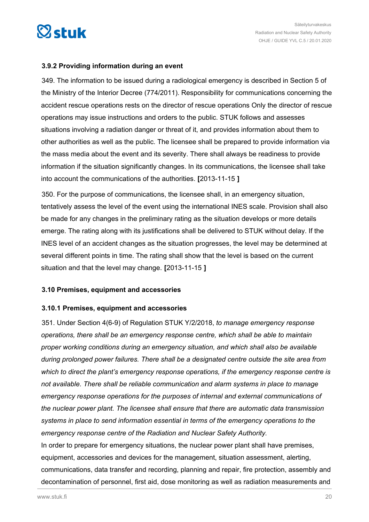<span id="page-19-0"></span>

### **3.9.2 Providing information during an event**

349. The information to be issued during a radiological emergency is described in Section 5 of the Ministry of the Interior Decree (774/2011). Responsibility for communications concerning the accident rescue operations rests on the director of rescue operations Only the director of rescue operations may issue instructions and orders to the public. STUK follows and assesses situations involving a radiation danger or threat of it, and provides information about them to other authorities as well as the public. The licensee shall be prepared to provide information via the mass media about the event and its severity. There shall always be readiness to provide information if the situation significantly changes. In its communications, the licensee shall take into account the communications of the authorities. **[**2013-11-15 **]**

350. For the purpose of communications, the licensee shall, in an emergency situation, tentatively assess the level of the event using the international INES scale. Provision shall also be made for any changes in the preliminary rating as the situation develops or more details emerge. The rating along with its justifications shall be delivered to STUK without delay. If the INES level of an accident changes as the situation progresses, the level may be determined at several different points in time. The rating shall show that the level is based on the current situation and that the level may change. **[**2013-11-15 **]**

### **3.10 Premises, equipment and accessories**

### **3.10.1 Premises, equipment and accessories**

351. Under Section 4(6-9) of Regulation STUK Y/2/2018, *to manage emergency response operations, there shall be an emergency response centre, which shall be able to maintain proper working conditions during an emergency situation, and which shall also be available during prolonged power failures. There shall be a designated centre outside the site area from which to direct the plant's emergency response operations, if the emergency response centre is not available. There shall be reliable communication and alarm systems in place to manage emergency response operations for the purposes of internal and external communications of the nuclear power plant. The licensee shall ensure that there are automatic data transmission systems in place to send information essential in terms of the emergency operations to the emergency response centre of the Radiation and Nuclear Safety Authority.*

In order to prepare for emergency situations, the nuclear power plant shall have premises, equipment, accessories and devices for the management, situation assessment, alerting, communications, data transfer and recording, planning and repair, fire protection, assembly and decontamination of personnel, first aid, dose monitoring as well as radiation measurements and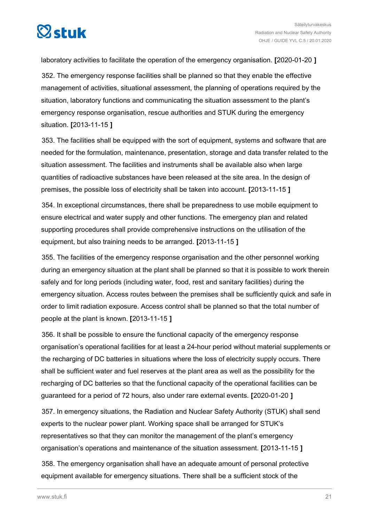

laboratory activities to facilitate the operation of the emergency organisation. **[**2020-01-20 **]**

352. The emergency response facilities shall be planned so that they enable the effective management of activities, situational assessment, the planning of operations required by the situation, laboratory functions and communicating the situation assessment to the plant's emergency response organisation, rescue authorities and STUK during the emergency situation. **[**2013-11-15 **]**

353. The facilities shall be equipped with the sort of equipment, systems and software that are needed for the formulation, maintenance, presentation, storage and data transfer related to the situation assessment. The facilities and instruments shall be available also when large quantities of radioactive substances have been released at the site area. In the design of premises, the possible loss of electricity shall be taken into account. **[**2013-11-15 **]**

354. In exceptional circumstances, there shall be preparedness to use mobile equipment to ensure electrical and water supply and other functions. The emergency plan and related supporting procedures shall provide comprehensive instructions on the utilisation of the equipment, but also training needs to be arranged. **[**2013-11-15 **]**

355. The facilities of the emergency response organisation and the other personnel working during an emergency situation at the plant shall be planned so that it is possible to work therein safely and for long periods (including water, food, rest and sanitary facilities) during the emergency situation. Access routes between the premises shall be sufficiently quick and safe in order to limit radiation exposure. Access control shall be planned so that the total number of people at the plant is known. **[**2013-11-15 **]**

356. It shall be possible to ensure the functional capacity of the emergency response organisation's operational facilities for at least a 24-hour period without material supplements or the recharging of DC batteries in situations where the loss of electricity supply occurs. There shall be sufficient water and fuel reserves at the plant area as well as the possibility for the recharging of DC batteries so that the functional capacity of the operational facilities can be guaranteed for a period of 72 hours, also under rare external events. **[**2020-01-20 **]**

357. In emergency situations, the Radiation and Nuclear Safety Authority (STUK) shall send experts to the nuclear power plant. Working space shall be arranged for STUK's representatives so that they can monitor the management of the plant's emergency organisation's operations and maintenance of the situation assessment. **[**2013-11-15 **]**

358. The emergency organisation shall have an adequate amount of personal protective equipment available for emergency situations. There shall be a sufficient stock of the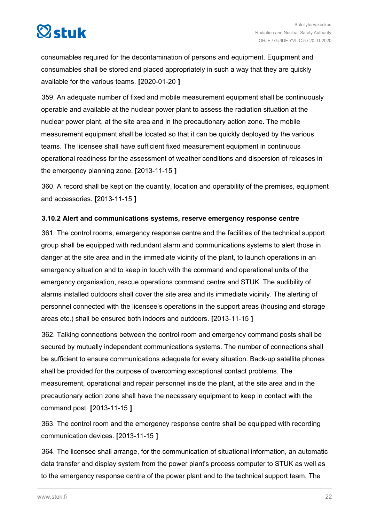<span id="page-21-0"></span>

consumables required for the decontamination of persons and equipment. Equipment and consumables shall be stored and placed appropriately in such a way that they are quickly available for the various teams. **[**2020-01-20 **]**

359. An adequate number of fixed and mobile measurement equipment shall be continuously operable and available at the nuclear power plant to assess the radiation situation at the nuclear power plant, at the site area and in the precautionary action zone. The mobile measurement equipment shall be located so that it can be quickly deployed by the various teams. The licensee shall have sufficient fixed measurement equipment in continuous operational readiness for the assessment of weather conditions and dispersion of releases in the emergency planning zone. **[**2013-11-15 **]**

360. A record shall be kept on the quantity, location and operability of the premises, equipment and accessories. **[**2013-11-15 **]**

### **3.10.2 Alert and communications systems, reserve emergency response centre**

361. The control rooms, emergency response centre and the facilities of the technical support group shall be equipped with redundant alarm and communications systems to alert those in danger at the site area and in the immediate vicinity of the plant, to launch operations in an emergency situation and to keep in touch with the command and operational units of the emergency organisation, rescue operations command centre and STUK. The audibility of alarms installed outdoors shall cover the site area and its immediate vicinity. The alerting of personnel connected with the licensee's operations in the support areas (housing and storage areas etc.) shall be ensured both indoors and outdoors. **[**2013-11-15 **]**

362. Talking connections between the control room and emergency command posts shall be secured by mutually independent communications systems. The number of connections shall be sufficient to ensure communications adequate for every situation. Back-up satellite phones shall be provided for the purpose of overcoming exceptional contact problems. The measurement, operational and repair personnel inside the plant, at the site area and in the precautionary action zone shall have the necessary equipment to keep in contact with the command post. **[**2013-11-15 **]**

363. The control room and the emergency response centre shall be equipped with recording communication devices. **[**2013-11-15 **]**

364. The licensee shall arrange, for the communication of situational information, an automatic data transfer and display system from the power plant's process computer to STUK as well as to the emergency response centre of the power plant and to the technical support team. The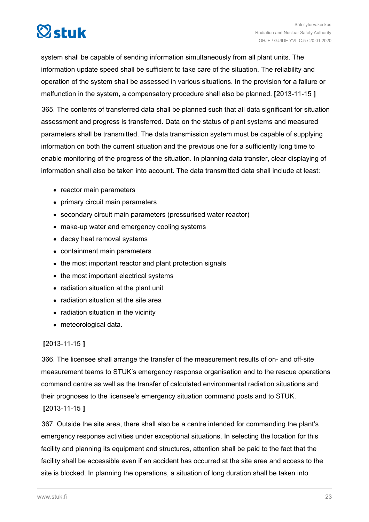



system shall be capable of sending information simultaneously from all plant units. The information update speed shall be sufficient to take care of the situation. The reliability and operation of the system shall be assessed in various situations. In the provision for a failure or malfunction in the system, a compensatory procedure shall also be planned. **[**2013-11-15 **]**

365. The contents of transferred data shall be planned such that all data significant for situation assessment and progress is transferred. Data on the status of plant systems and measured parameters shall be transmitted. The data transmission system must be capable of supplying information on both the current situation and the previous one for a sufficiently long time to enable monitoring of the progress of the situation. In planning data transfer, clear displaying of information shall also be taken into account. The data transmitted data shall include at least:

- reactor main parameters
- primary circuit main parameters
- secondary circuit main parameters (pressurised water reactor)
- make-up water and emergency cooling systems
- decay heat removal systems
- containment main parameters
- the most important reactor and plant protection signals
- the most important electrical systems
- radiation situation at the plant unit
- radiation situation at the site area
- radiation situation in the vicinity
- meteorological data.

### **[**2013-11-15 **]**

366. The licensee shall arrange the transfer of the measurement results of on- and off-site measurement teams to STUK's emergency response organisation and to the rescue operations command centre as well as the transfer of calculated environmental radiation situations and their prognoses to the licensee's emergency situation command posts and to STUK. **[**2013-11-15 **]**

367. Outside the site area, there shall also be a centre intended for commanding the plant's emergency response activities under exceptional situations. In selecting the location for this facility and planning its equipment and structures, attention shall be paid to the fact that the facility shall be accessible even if an accident has occurred at the site area and access to the site is blocked. In planning the operations, a situation of long duration shall be taken into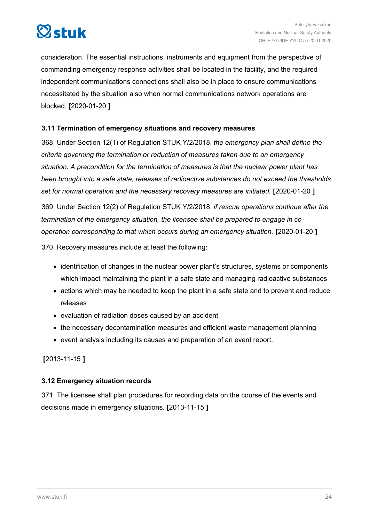<span id="page-23-0"></span>

consideration. The essential instructions, instruments and equipment from the perspective of commanding emergency response activities shall be located in the facility, and the required independent communications connections shall also be in place to ensure communications necessitated by the situation also when normal communications network operations are blocked. **[**2020-01-20 **]**

### **3.11 Termination of emergency situations and recovery measures**

368. Under Section 12(1) of Regulation STUK Y/2/2018, *the emergency plan shall define the criteria governing the termination or reduction of measures taken due to an emergency situation. A precondition for the termination of measures is that the nuclear power plant has been brought into a safe state, releases of radioactive substances do not exceed the thresholds set for normal operation and the necessary recovery measures are initiated.* **[**2020-01-20 **]**

369. Under Section 12(2) of Regulation STUK Y/2/2018, *if rescue operations continue after the termination of the emergency situation, the licensee shall be prepared to engage in cooperation corresponding to that which occurs during an emergency situation.* **[**2020-01-20 **]**

370. Recovery measures include at least the following:

- identification of changes in the nuclear power plant's structures, systems or components which impact maintaining the plant in a safe state and managing radioactive substances
- actions which may be needed to keep the plant in a safe state and to prevent and reduce releases
- evaluation of radiation doses caused by an accident
- the necessary decontamination measures and efficient waste management planning
- event analysis including its causes and preparation of an event report.

### **[**2013-11-15 **]**

### **3.12 Emergency situation records**

371. The licensee shall plan procedures for recording data on the course of the events and decisions made in emergency situations. **[**2013-11-15 **]**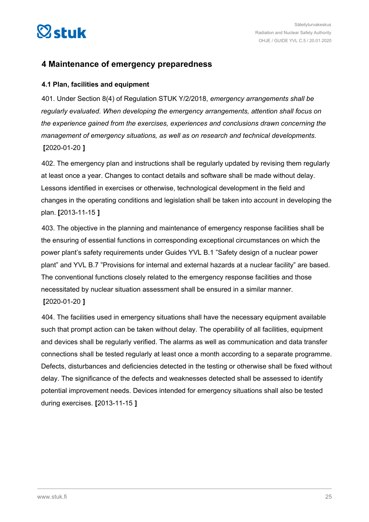<span id="page-24-0"></span>

### **4 Maintenance of emergency preparedness**

### **4.1 Plan, facilities and equipment**

401. Under Section 8(4) of Regulation STUK Y/2/2018, *emergency arrangements shall be regularly evaluated. When developing the emergency arrangements, attention shall focus on the experience gained from the exercises, experiences and conclusions drawn concerning the management of emergency situations, as well as on research and technical developments.* **[**2020-01-20 **]**

402. The emergency plan and instructions shall be regularly updated by revising them regularly at least once a year. Changes to contact details and software shall be made without delay. Lessons identified in exercises or otherwise, technological development in the field and changes in the operating conditions and legislation shall be taken into account in developing the plan. **[**2013-11-15 **]**

403. The objective in the planning and maintenance of emergency response facilities shall be the ensuring of essential functions in corresponding exceptional circumstances on which the power plant's safety requirements under Guides YVL B.1 "Safety design of a nuclear power plant" and YVL B.7 "Provisions for internal and external hazards at a nuclear facility" are based. The conventional functions closely related to the emergency response facilities and those necessitated by nuclear situation assessment shall be ensured in a similar manner. **[**2020-01-20 **]**

404. The facilities used in emergency situations shall have the necessary equipment available such that prompt action can be taken without delay. The operability of all facilities, equipment and devices shall be regularly verified. The alarms as well as communication and data transfer connections shall be tested regularly at least once a month according to a separate programme. Defects, disturbances and deficiencies detected in the testing or otherwise shall be fixed without delay. The significance of the defects and weaknesses detected shall be assessed to identify potential improvement needs. Devices intended for emergency situations shall also be tested during exercises. **[**2013-11-15 **]**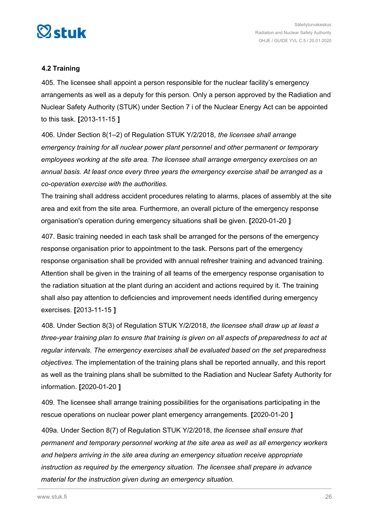<span id="page-25-0"></span>

### **4.2 Training**

405. The licensee shall appoint a person responsible for the nuclear facility's emergency arrangements as well as a deputy for this person. Only a person approved by the Radiation and Nuclear Safety Authority (STUK) under Section 7 i of the Nuclear Energy Act can be appointed to this task. **[**2013-11-15 **]**

406. Under Section 8(1–2) of Regulation STUK Y/2/2018, *the licensee shall arrange emergency training for all nuclear power plant personnel and other permanent or temporary employees working at the site area. The licensee shall arrange emergency exercises on an annual basis. At least once every three years the emergency exercise shall be arranged as a co-operation exercise with the authorities.*

The training shall address accident procedures relating to alarms, places of assembly at the site area and exit from the site area. Furthermore, an overall picture of the emergency response organisation's operation during emergency situations shall be given. **[**2020-01-20 **]**

407. Basic training needed in each task shall be arranged for the persons of the emergency response organisation prior to appointment to the task. Persons part of the emergency response organisation shall be provided with annual refresher training and advanced training. Attention shall be given in the training of all teams of the emergency response organisation to the radiation situation at the plant during an accident and actions required by it. The training shall also pay attention to deficiencies and improvement needs identified during emergency exercises. **[**2013-11-15 **]**

408. Under Section 8(3) of Regulation STUK Y/2/2018, *the licensee shall draw up at least a three-year training plan to ensure that training is given on all aspects of preparedness to act at regular intervals. The emergency exercises shall be evaluated based on the set preparedness objectives.* The implementation of the training plans shall be reported annually, and this report as well as the training plans shall be submitted to the Radiation and Nuclear Safety Authority for information. **[**2020-01-20 **]**

409. The licensee shall arrange training possibilities for the organisations participating in the rescue operations on nuclear power plant emergency arrangements. **[**2020-01-20 **]**

409a. Under Section 8(7) of Regulation STUK Y/2/2018, *the licensee shall ensure that permanent and temporary personnel working at the site area as well as all emergency workers and helpers arriving in the site area during an emergency situation receive appropriate instruction as required by the emergency situation. The licensee shall prepare in advance material for the instruction given during an emergency situation.*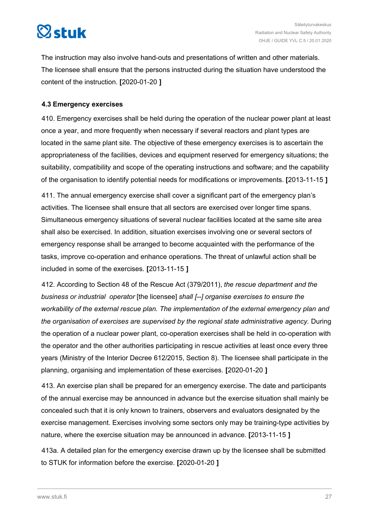## <span id="page-26-0"></span> $\heartsuit$ stuk

The instruction may also involve hand-outs and presentations of written and other materials. The licensee shall ensure that the persons instructed during the situation have understood the content of the instruction. **[**2020-01-20 **]**

### **4.3 Emergency exercises**

410. Emergency exercises shall be held during the operation of the nuclear power plant at least once a year, and more frequently when necessary if several reactors and plant types are located in the same plant site. The objective of these emergency exercises is to ascertain the appropriateness of the facilities, devices and equipment reserved for emergency situations; the suitability, compatibility and scope of the operating instructions and software; and the capability of the organisation to identify potential needs for modifications or improvements. **[**2013-11-15 **]**

411. The annual emergency exercise shall cover a significant part of the emergency plan's activities. The licensee shall ensure that all sectors are exercised over longer time spans. Simultaneous emergency situations of several nuclear facilities located at the same site area shall also be exercised. In addition, situation exercises involving one or several sectors of emergency response shall be arranged to become acquainted with the performance of the tasks, improve co-operation and enhance operations. The threat of unlawful action shall be included in some of the exercises. **[**2013-11-15 **]**

412. According to Section 48 of the Rescue Act (379/2011), *the rescue department and the business or industrial operator* [the licensee] *shall [--] organise exercises to ensure the workability of the external rescue plan. The implementation of the external emergency plan and the organisation of exercises are supervised by the regional state administrative agency.* During the operation of a nuclear power plant, co-operation exercises shall be held in co-operation with the operator and the other authorities participating in rescue activities at least once every three years (Ministry of the Interior Decree 612/2015, Section 8). The licensee shall participate in the planning, organising and implementation of these exercises. **[**2020-01-20 **]**

413. An exercise plan shall be prepared for an emergency exercise. The date and participants of the annual exercise may be announced in advance but the exercise situation shall mainly be concealed such that it is only known to trainers, observers and evaluators designated by the exercise management. Exercises involving some sectors only may be training-type activities by nature, where the exercise situation may be announced in advance. **[**2013-11-15 **]**

413a. A detailed plan for the emergency exercise drawn up by the licensee shall be submitted to STUK for information before the exercise. **[**2020-01-20 **]**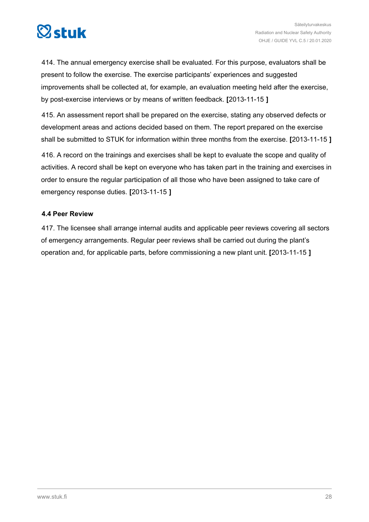<span id="page-27-0"></span>

414. The annual emergency exercise shall be evaluated. For this purpose, evaluators shall be present to follow the exercise. The exercise participants' experiences and suggested improvements shall be collected at, for example, an evaluation meeting held after the exercise, by post-exercise interviews or by means of written feedback. **[**2013-11-15 **]**

415. An assessment report shall be prepared on the exercise, stating any observed defects or development areas and actions decided based on them. The report prepared on the exercise shall be submitted to STUK for information within three months from the exercise. **[**2013-11-15 **]**

416. A record on the trainings and exercises shall be kept to evaluate the scope and quality of activities. A record shall be kept on everyone who has taken part in the training and exercises in order to ensure the regular participation of all those who have been assigned to take care of emergency response duties. **[**2013-11-15 **]**

### **4.4 Peer Review**

417. The licensee shall arrange internal audits and applicable peer reviews covering all sectors of emergency arrangements. Regular peer reviews shall be carried out during the plant's operation and, for applicable parts, before commissioning a new plant unit. **[**2013-11-15 **]**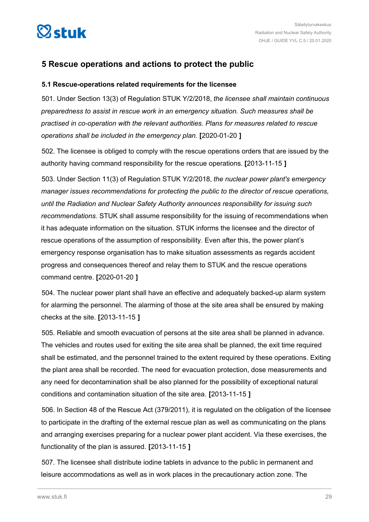<span id="page-28-0"></span>

### **5 Rescue operations and actions to protect the public**

### **5.1 Rescue-operations related requirements for the licensee**

501. Under Section 13(3) of Regulation STUK Y/2/2018, *the licensee shall maintain continuous preparedness to assist in rescue work in an emergency situation. Such measures shall be practised in co-operation with the relevant authorities. Plans for measures related to rescue operations shall be included in the emergency plan.* **[**2020-01-20 **]**

502. The licensee is obliged to comply with the rescue operations orders that are issued by the authority having command responsibility for the rescue operations. **[**2013-11-15 **]**

503. Under Section 11(3) of Regulation STUK Y/2/2018, *the nuclear power plant's emergency manager issues recommendations for protecting the public to the director of rescue operations, until the Radiation and Nuclear Safety Authority announces responsibility for issuing such recommendations.* STUK shall assume responsibility for the issuing of recommendations when it has adequate information on the situation. STUK informs the licensee and the director of rescue operations of the assumption of responsibility. Even after this, the power plant's emergency response organisation has to make situation assessments as regards accident progress and consequences thereof and relay them to STUK and the rescue operations command centre. **[**2020-01-20 **]**

504. The nuclear power plant shall have an effective and adequately backed-up alarm system for alarming the personnel. The alarming of those at the site area shall be ensured by making checks at the site. **[**2013-11-15 **]**

505. Reliable and smooth evacuation of persons at the site area shall be planned in advance. The vehicles and routes used for exiting the site area shall be planned, the exit time required shall be estimated, and the personnel trained to the extent required by these operations. Exiting the plant area shall be recorded. The need for evacuation protection, dose measurements and any need for decontamination shall be also planned for the possibility of exceptional natural conditions and contamination situation of the site area. **[**2013-11-15 **]**

506. In Section 48 of the Rescue Act (379/2011), it is regulated on the obligation of the licensee to participate in the drafting of the external rescue plan as well as communicating on the plans and arranging exercises preparing for a nuclear power plant accident. Via these exercises, the functionality of the plan is assured. **[**2013-11-15 **]**

507. The licensee shall distribute iodine tablets in advance to the public in permanent and leisure accommodations as well as in work places in the precautionary action zone. The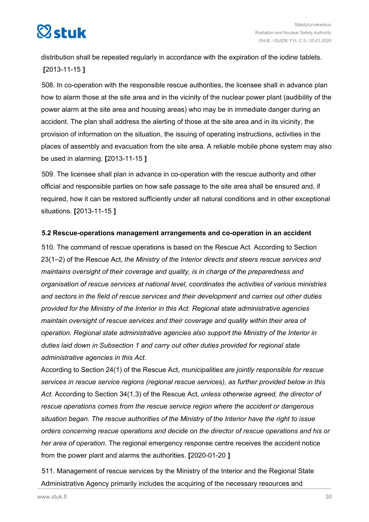<span id="page-29-0"></span>

distribution shall be repeated regularly in accordance with the expiration of the iodine tablets. **[**2013-11-15 **]**

508. In co-operation with the responsible rescue authorities, the licensee shall in advance plan how to alarm those at the site area and in the vicinity of the nuclear power plant (audibility of the power alarm at the site area and housing areas) who may be in immediate danger during an accident. The plan shall address the alerting of those at the site area and in its vicinity, the provision of information on the situation, the issuing of operating instructions, activities in the places of assembly and evacuation from the site area. A reliable mobile phone system may also be used in alarming. **[**2013-11-15 **]**

509. The licensee shall plan in advance in co-operation with the rescue authority and other official and responsible parties on how safe passage to the site area shall be ensured and, if required, how it can be restored sufficiently under all natural conditions and in other exceptional situations. **[**2013-11-15 **]**

### **5.2 Rescue-operations management arrangements and co-operation in an accident**

510. The command of rescue operations is based on the Rescue Act. According to Section 23(1–2) of the Rescue Act, *the Ministry of the Interior directs and steers rescue services and maintains oversight of their coverage and quality, is in charge of the preparedness and organisation of rescue services at national level, coordinates the activities of various ministries and sectors in the field of rescue services and their development and carries out other duties provided for the Ministry of the Interior in this Act. Regional state administrative agencies maintain oversight of rescue services and their coverage and quality within their area of operation. Regional state administrative agencies also support the Ministry of the Interior in duties laid down in Subsection 1 and carry out other duties provided for regional state administrative agencies in this Act.*

According to Section 24(1) of the Rescue Act, *municipalities are jointly responsible for rescue services in rescue service regions (regional rescue services), as further provided below in this Act.* According to Section 34(1,3) of the Rescue Act, *unless otherwise agreed, the director of rescue operations comes from the rescue service region where the accident or dangerous situation began. The rescue authorities of the Ministry of the Interior have the right to issue orders concerning rescue operations and decide on the director of rescue operations and his or her area of operation.* The regional emergency response centre receives the accident notice from the power plant and alarms the authorities. **[**2020-01-20 **]**

511. Management of rescue services by the Ministry of the Interior and the Regional State Administrative Agency primarily includes the acquiring of the necessary resources and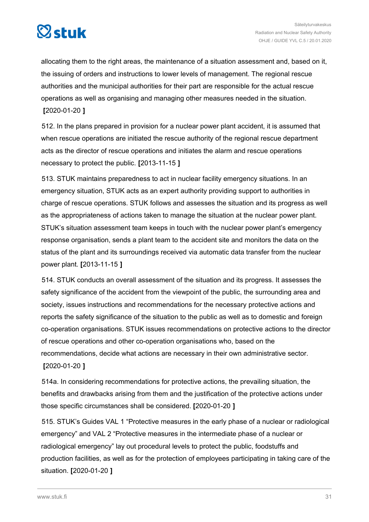

allocating them to the right areas, the maintenance of a situation assessment and, based on it, the issuing of orders and instructions to lower levels of management. The regional rescue authorities and the municipal authorities for their part are responsible for the actual rescue operations as well as organising and managing other measures needed in the situation. **[**2020-01-20 **]**

512. In the plans prepared in provision for a nuclear power plant accident, it is assumed that when rescue operations are initiated the rescue authority of the regional rescue department acts as the director of rescue operations and initiates the alarm and rescue operations necessary to protect the public. **[**2013-11-15 **]**

513. STUK maintains preparedness to act in nuclear facility emergency situations. In an emergency situation, STUK acts as an expert authority providing support to authorities in charge of rescue operations. STUK follows and assesses the situation and its progress as well as the appropriateness of actions taken to manage the situation at the nuclear power plant. STUK's situation assessment team keeps in touch with the nuclear power plant's emergency response organisation, sends a plant team to the accident site and monitors the data on the status of the plant and its surroundings received via automatic data transfer from the nuclear power plant. **[**2013-11-15 **]**

514. STUK conducts an overall assessment of the situation and its progress. It assesses the safety significance of the accident from the viewpoint of the public, the surrounding area and society, issues instructions and recommendations for the necessary protective actions and reports the safety significance of the situation to the public as well as to domestic and foreign co-operation organisations. STUK issues recommendations on protective actions to the director of rescue operations and other co-operation organisations who, based on the recommendations, decide what actions are necessary in their own administrative sector. **[**2020-01-20 **]**

514a. In considering recommendations for protective actions, the prevailing situation, the benefits and drawbacks arising from them and the justification of the protective actions under those specific circumstances shall be considered. **[**2020-01-20 **]**

515. STUK's Guides VAL 1 "Protective measures in the early phase of a nuclear or radiological emergency" and VAL 2 "Protective measures in the intermediate phase of a nuclear or radiological emergency" lay out procedural levels to protect the public, foodstuffs and production facilities, as well as for the protection of employees participating in taking care of the situation. **[**2020-01-20 **]**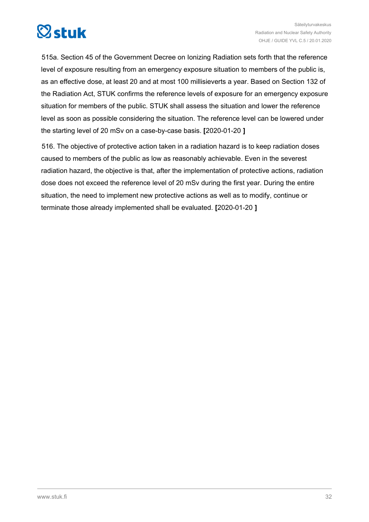

515a. Section 45 of the Government Decree on Ionizing Radiation sets forth that the reference level of exposure resulting from an emergency exposure situation to members of the public is, as an effective dose, at least 20 and at most 100 millisieverts a year. Based on Section 132 of the Radiation Act, STUK confirms the reference levels of exposure for an emergency exposure situation for members of the public. STUK shall assess the situation and lower the reference level as soon as possible considering the situation. The reference level can be lowered under the starting level of 20 mSv on a case-by-case basis. **[**2020-01-20 **]**

516. The objective of protective action taken in a radiation hazard is to keep radiation doses caused to members of the public as low as reasonably achievable. Even in the severest radiation hazard, the objective is that, after the implementation of protective actions, radiation dose does not exceed the reference level of 20 mSv during the first year. During the entire situation, the need to implement new protective actions as well as to modify, continue or terminate those already implemented shall be evaluated. **[**2020-01-20 **]**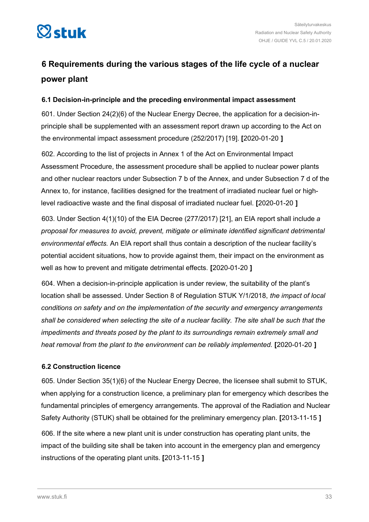<span id="page-32-0"></span>

## **6 Requirements during the various stages of the life cycle of a nuclear power plant**

### **6.1 Decision-in-principle and the preceding environmental impact assessment**

601. Under Section 24(2)(6) of the Nuclear Energy Decree, the application for a decision-inprinciple shall be supplemented with an assessment report drawn up according to the Act on the environmental impact assessment procedure (252/2017) [19]. **[**2020-01-20 **]**

602. According to the list of projects in Annex 1 of the Act on Environmental Impact Assessment Procedure, the assessment procedure shall be applied to nuclear power plants and other nuclear reactors under Subsection 7 b of the Annex, and under Subsection 7 d of the Annex to, for instance, facilities designed for the treatment of irradiated nuclear fuel or highlevel radioactive waste and the final disposal of irradiated nuclear fuel. **[**2020-01-20 **]**

603. Under Section 4(1)(10) of the EIA Decree (277/2017) [21], an EIA report shall include *a proposal for measures to avoid, prevent, mitigate or eliminate identified significant detrimental environmental effects.* An EIA report shall thus contain a description of the nuclear facility's potential accident situations, how to provide against them, their impact on the environment as well as how to prevent and mitigate detrimental effects. **[**2020-01-20 **]**

604. When a decision-in-principle application is under review, the suitability of the plant's location shall be assessed. Under Section 8 of Regulation STUK Y/1/2018, *the impact of local conditions on safety and on the implementation of the security and emergency arrangements shall be considered when selecting the site of a nuclear facility. The site shall be such that the impediments and threats posed by the plant to its surroundings remain extremely small and heat removal from the plant to the environment can be reliably implemented.* **[**2020-01-20 **]**

### **6.2 Construction licence**

605. Under Section 35(1)(6) of the Nuclear Energy Decree, the licensee shall submit to STUK, when applying for a construction licence, a preliminary plan for emergency which describes the fundamental principles of emergency arrangements. The approval of the Radiation and Nuclear Safety Authority (STUK) shall be obtained for the preliminary emergency plan. **[**2013-11-15 **]**

606. If the site where a new plant unit is under construction has operating plant units, the impact of the building site shall be taken into account in the emergency plan and emergency instructions of the operating plant units. **[**2013-11-15 **]**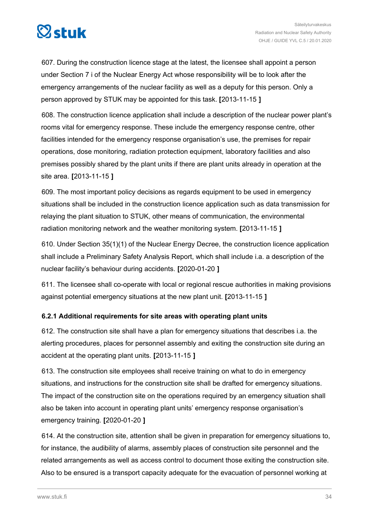<span id="page-33-0"></span>

607. During the construction licence stage at the latest, the licensee shall appoint a person under Section 7 i of the Nuclear Energy Act whose responsibility will be to look after the emergency arrangements of the nuclear facility as well as a deputy for this person. Only a person approved by STUK may be appointed for this task. **[**2013-11-15 **]**

608. The construction licence application shall include a description of the nuclear power plant's rooms vital for emergency response. These include the emergency response centre, other facilities intended for the emergency response organisation's use, the premises for repair operations, dose monitoring, radiation protection equipment, laboratory facilities and also premises possibly shared by the plant units if there are plant units already in operation at the site area. **[**2013-11-15 **]**

609. The most important policy decisions as regards equipment to be used in emergency situations shall be included in the construction licence application such as data transmission for relaying the plant situation to STUK, other means of communication, the environmental radiation monitoring network and the weather monitoring system. **[**2013-11-15 **]**

610. Under Section 35(1)(1) of the Nuclear Energy Decree, the construction licence application shall include a Preliminary Safety Analysis Report, which shall include i.a. a description of the nuclear facility's behaviour during accidents. **[**2020-01-20 **]**

611. The licensee shall co-operate with local or regional rescue authorities in making provisions against potential emergency situations at the new plant unit. **[**2013-11-15 **]**

### **6.2.1 Additional requirements for site areas with operating plant units**

612. The construction site shall have a plan for emergency situations that describes i.a. the alerting procedures, places for personnel assembly and exiting the construction site during an accident at the operating plant units. **[**2013-11-15 **]**

613. The construction site employees shall receive training on what to do in emergency situations, and instructions for the construction site shall be drafted for emergency situations. The impact of the construction site on the operations required by an emergency situation shall also be taken into account in operating plant units' emergency response organisation's emergency training. **[**2020-01-20 **]**

614. At the construction site, attention shall be given in preparation for emergency situations to, for instance, the audibility of alarms, assembly places of construction site personnel and the related arrangements as well as access control to document those exiting the construction site. Also to be ensured is a transport capacity adequate for the evacuation of personnel working at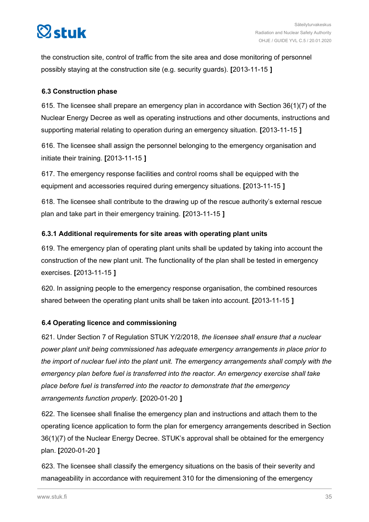# <span id="page-34-0"></span> $\heartsuit$ stuk

the construction site, control of traffic from the site area and dose monitoring of personnel possibly staying at the construction site (e.g. security guards). **[**2013-11-15 **]**

### **6.3 Construction phase**

615. The licensee shall prepare an emergency plan in accordance with Section 36(1)(7) of the Nuclear Energy Decree as well as operating instructions and other documents, instructions and supporting material relating to operation during an emergency situation. **[**2013-11-15 **]**

616. The licensee shall assign the personnel belonging to the emergency organisation and initiate their training. **[**2013-11-15 **]**

617. The emergency response facilities and control rooms shall be equipped with the equipment and accessories required during emergency situations. **[**2013-11-15 **]**

618. The licensee shall contribute to the drawing up of the rescue authority's external rescue plan and take part in their emergency training. **[**2013-11-15 **]**

### **6.3.1 Additional requirements for site areas with operating plant units**

619. The emergency plan of operating plant units shall be updated by taking into account the construction of the new plant unit. The functionality of the plan shall be tested in emergency exercises. **[**2013-11-15 **]**

620. In assigning people to the emergency response organisation, the combined resources shared between the operating plant units shall be taken into account. **[**2013-11-15 **]**

### **6.4 Operating licence and commissioning**

621. Under Section 7 of Regulation STUK Y/2/2018, *the licensee shall ensure that a nuclear power plant unit being commissioned has adequate emergency arrangements in place prior to the import of nuclear fuel into the plant unit. The emergency arrangements shall comply with the emergency plan before fuel is transferred into the reactor. An emergency exercise shall take place before fuel is transferred into the reactor to demonstrate that the emergency arrangements function properly.* **[**2020-01-20 **]**

622. The licensee shall finalise the emergency plan and instructions and attach them to the operating licence application to form the plan for emergency arrangements described in Section 36(1)(7) of the Nuclear Energy Decree. STUK's approval shall be obtained for the emergency plan. **[**2020-01-20 **]**

623. The licensee shall classify the emergency situations on the basis of their severity and manageability in accordance with requirement 310 for the dimensioning of the emergency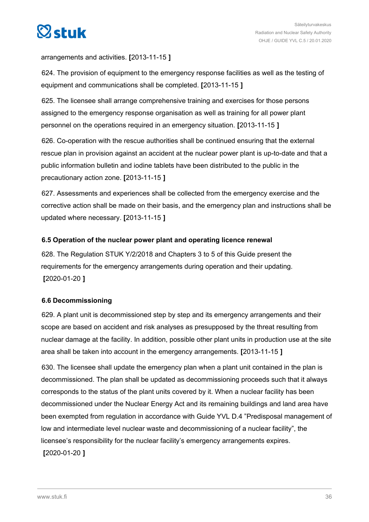<span id="page-35-0"></span>

### arrangements and activities. **[**2013-11-15 **]**

624. The provision of equipment to the emergency response facilities as well as the testing of equipment and communications shall be completed. **[**2013-11-15 **]**

625. The licensee shall arrange comprehensive training and exercises for those persons assigned to the emergency response organisation as well as training for all power plant personnel on the operations required in an emergency situation. **[**2013-11-15 **]**

626. Co-operation with the rescue authorities shall be continued ensuring that the external rescue plan in provision against an accident at the nuclear power plant is up-to-date and that a public information bulletin and iodine tablets have been distributed to the public in the precautionary action zone. **[**2013-11-15 **]**

627. Assessments and experiences shall be collected from the emergency exercise and the corrective action shall be made on their basis, and the emergency plan and instructions shall be updated where necessary. **[**2013-11-15 **]**

### **6.5 Operation of the nuclear power plant and operating licence renewal**

628. The Regulation STUK Y/2/2018 and Chapters 3 to 5 of this Guide present the requirements for the emergency arrangements during operation and their updating. **[**2020-01-20 **]**

### **6.6 Decommissioning**

629. A plant unit is decommissioned step by step and its emergency arrangements and their scope are based on accident and risk analyses as presupposed by the threat resulting from nuclear damage at the facility. In addition, possible other plant units in production use at the site area shall be taken into account in the emergency arrangements. **[**2013-11-15 **]**

630. The licensee shall update the emergency plan when a plant unit contained in the plan is decommissioned. The plan shall be updated as decommissioning proceeds such that it always corresponds to the status of the plant units covered by it. When a nuclear facility has been decommissioned under the Nuclear Energy Act and its remaining buildings and land area have been exempted from regulation in accordance with Guide YVL D.4 "Predisposal management of low and intermediate level nuclear waste and decommissioning of a nuclear facility", the licensee's responsibility for the nuclear facility's emergency arrangements expires. **[**2020-01-20 **]**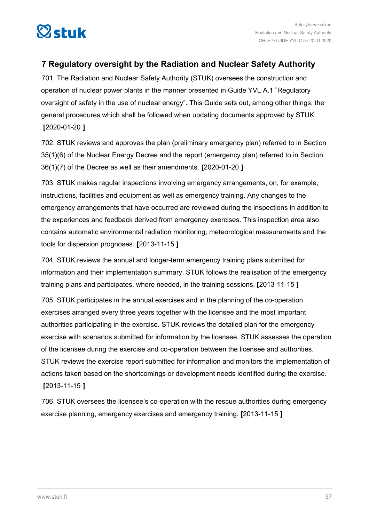<span id="page-36-0"></span>

### **7 Regulatory oversight by the Radiation and Nuclear Safety Authority**

701. The Radiation and Nuclear Safety Authority (STUK) oversees the construction and operation of nuclear power plants in the manner presented in Guide YVL A.1 "Regulatory oversight of safety in the use of nuclear energy". This Guide sets out, among other things, the general procedures which shall be followed when updating documents approved by STUK. **[**2020-01-20 **]**

702. STUK reviews and approves the plan (preliminary emergency plan) referred to in Section 35(1)(6) of the Nuclear Energy Decree and the report (emergency plan) referred to in Section 36(1)(7) of the Decree as well as their amendments. **[**2020-01-20 **]**

703. STUK makes regular inspections involving emergency arrangements, on, for example, instructions, facilities and equipment as well as emergency training. Any changes to the emergency arrangements that have occurred are reviewed during the inspections in addition to the experiences and feedback derived from emergency exercises. This inspection area also contains automatic environmental radiation monitoring, meteorological measurements and the tools for dispersion prognoses. **[**2013-11-15 **]**

704. STUK reviews the annual and longer-term emergency training plans submitted for information and their implementation summary. STUK follows the realisation of the emergency training plans and participates, where needed, in the training sessions. **[**2013-11-15 **]**

705. STUK participates in the annual exercises and in the planning of the co-operation exercises arranged every three years together with the licensee and the most important authorities participating in the exercise. STUK reviews the detailed plan for the emergency exercise with scenarios submitted for information by the licensee. STUK assesses the operation of the licensee during the exercise and co-operation between the licensee and authorities. STUK reviews the exercise report submitted for information and monitors the implementation of actions taken based on the shortcomings or development needs identified during the exercise. **[**2013-11-15 **]**

706. STUK oversees the licensee's co-operation with the rescue authorities during emergency exercise planning, emergency exercises and emergency training. **[**2013-11-15 **]**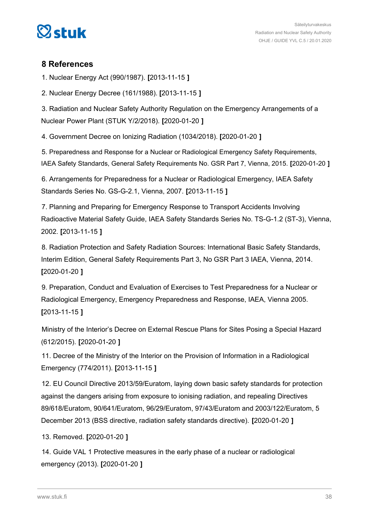<span id="page-37-0"></span>

### **8 References**

1. Nuclear Energy Act (990/1987). **[**2013-11-15 **]**

2. Nuclear Energy Decree (161/1988). **[**2013-11-15 **]**

3. Radiation and Nuclear Safety Authority Regulation on the Emergency Arrangements of a Nuclear Power Plant (STUK Y/2/2018). **[**2020-01-20 **]**

4. Government Decree on Ionizing Radiation (1034/2018). **[**2020-01-20 **]**

5. Preparedness and Response for a Nuclear or Radiological Emergency Safety Requirements, IAEA Safety Standards, General Safety Requirements No. GSR Part 7, Vienna, 2015. **[**2020-01-20 **]**

6. Arrangements for Preparedness for a Nuclear or Radiological Emergency, IAEA Safety Standards Series No. GS-G-2.1, Vienna, 2007. **[**2013-11-15 **]**

7. Planning and Preparing for Emergency Response to Transport Accidents Involving Radioactive Material Safety Guide, IAEA Safety Standards Series No. TS-G-1.2 (ST-3), Vienna, 2002. **[**2013-11-15 **]**

8. Radiation Protection and Safety Radiation Sources: International Basic Safety Standards, Interim Edition, General Safety Requirements Part 3, No GSR Part 3 IAEA, Vienna, 2014. **[**2020-01-20 **]**

9. Preparation, Conduct and Evaluation of Exercises to Test Preparedness for a Nuclear or Radiological Emergency, Emergency Preparedness and Response, IAEA, Vienna 2005. **[**2013-11-15 **]**

Ministry of the Interior's Decree on External Rescue Plans for Sites Posing a Special Hazard (612/2015). **[**2020-01-20 **]**

11. Decree of the Ministry of the Interior on the Provision of Information in a Radiological Emergency (774/2011). **[**2013-11-15 **]**

12. EU Council Directive 2013/59/Euratom, laying down basic safety standards for protection against the dangers arising from exposure to ionising radiation, and repealing Directives 89/618/Euratom, 90/641/Euratom, 96/29/Euratom, 97/43/Euratom and 2003/122/Euratom, 5 December 2013 (BSS directive, radiation safety standards directive). **[**2020-01-20 **]**

13. Removed. **[**2020-01-20 **]**

14. Guide VAL 1 Protective measures in the early phase of a nuclear or radiological emergency (2013). **[**2020-01-20 **]**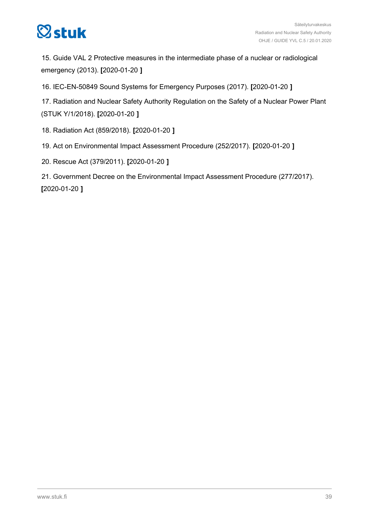

15. Guide VAL 2 Protective measures in the intermediate phase of a nuclear or radiological emergency (2013). **[**2020-01-20 **]**

16. IEC-EN-50849 Sound Systems for Emergency Purposes (2017). **[**2020-01-20 **]**

17. Radiation and Nuclear Safety Authority Regulation on the Safety of a Nuclear Power Plant (STUK Y/1/2018). **[**2020-01-20 **]**

- 18. Radiation Act (859/2018). **[**2020-01-20 **]**
- 19. Act on Environmental Impact Assessment Procedure (252/2017). **[**2020-01-20 **]**
- 20. Rescue Act (379/2011). **[**2020-01-20 **]**

21. Government Decree on the Environmental Impact Assessment Procedure (277/2017). **[**2020-01-20 **]**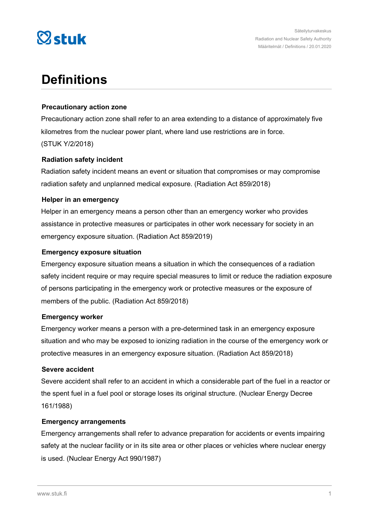

## **Definitions**

### **Precautionary action zone**

Precautionary action zone shall refer to an area extending to a distance of approximately five kilometres from the nuclear power plant, where land use restrictions are in force. (STUK Y/2/2018)

### **Radiation safety incident**

Radiation safety incident means an event or situation that compromises or may compromise radiation safety and unplanned medical exposure. (Radiation Act 859/2018)

### **Helper in an emergency**

Helper in an emergency means a person other than an emergency worker who provides assistance in protective measures or participates in other work necessary for society in an emergency exposure situation. (Radiation Act 859/2019)

### **Emergency exposure situation**

Emergency exposure situation means a situation in which the consequences of a radiation safety incident require or may require special measures to limit or reduce the radiation exposure of persons participating in the emergency work or protective measures or the exposure of members of the public. (Radiation Act 859/2018)

### **Emergency worker**

Emergency worker means a person with a pre-determined task in an emergency exposure situation and who may be exposed to ionizing radiation in the course of the emergency work or protective measures in an emergency exposure situation. (Radiation Act 859/2018)

### **Severe accident**

Severe accident shall refer to an accident in which a considerable part of the fuel in a reactor or the spent fuel in a fuel pool or storage loses its original structure. (Nuclear Energy Decree 161/1988)

### **Emergency arrangements**

Emergency arrangements shall refer to advance preparation for accidents or events impairing safety at the nuclear facility or in its site area or other places or vehicles where nuclear energy is used. (Nuclear Energy Act 990/1987)